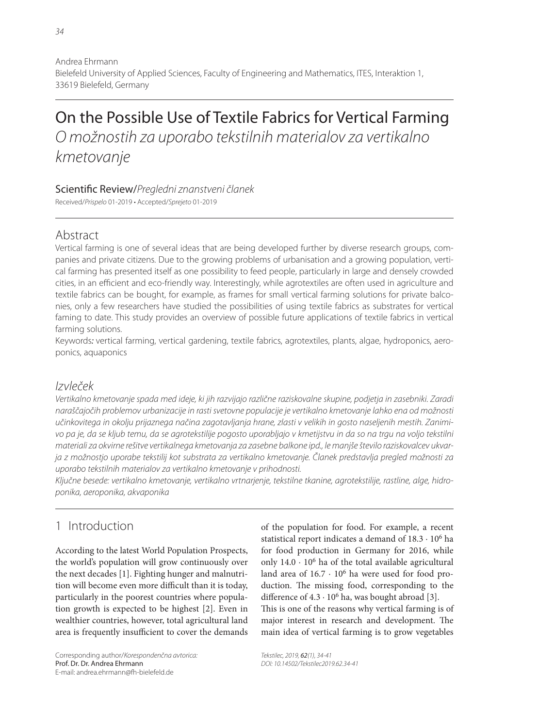Andrea Ehrmann Bielefeld University of Applied Sciences, Faculty of Engineering and Mathematics, ITES, Interaktion 1, 33619 Bielefeld, Germany

# On the Possible Use of Textile Fabrics for Vertical Farming O možnostih za uporabo tekstilnih materialov za vertikalno kmetovanje

#### Scientific Review/Pregledni znanstveni članek

Received/Prispelo 01-2019 • Accepted/Sprejeto 01-2019

### Abstract

Vertical farming is one of several ideas that are being developed further by diverse research groups, companies and private citizens. Due to the growing problems of urbanisation and a growing population, vertical farming has presented itself as one possibility to feed people, particularly in large and densely crowded cities, in an efficient and eco-friendly way. Interestingly, while agrotextiles are often used in agriculture and textile fabrics can be bought, for example, as frames for small vertical farming solutions for private balconies, only a few researchers have studied the possibilities of using textile fabrics as substrates for vertical faming to date. This study provides an overview of possible future applications of textile fabrics in vertical farming solutions.

Keywords: vertical farming, vertical gardening, textile fabrics, agrotextiles, plants, algae, hydroponics, aeroponics, aquaponics

### Izvleček

Vertikalno kmetovanje spada med ideje, ki jih razvijajo različne raziskovalne skupine, podjetja in zasebniki. Zaradi naraščajočih problemov urbanizacije in rasti svetovne populacije je vertikalno kmetovanje lahko ena od možnosti učinkovitega in okolju prijaznega načina zagotavljanja hrane, zlasti v velikih in gosto naseljenih mestih. Zanimivo pa je, da se kljub temu, da se agrotekstilije pogosto uporabljajo v kmetijstvu in da so na trgu na voljo tekstilni materiali za okvirne rešitve vertikalnega kmetovanja za zasebne balkone ipd., le manjše število raziskovalcev ukvarja z možnostjo uporabe tekstilij kot substrata za vertikalno kmetovanje. Članek predstavlja pregled možnosti za uporabo tekstilnih materialov za vertikalno kmetovanje v prihodnosti.

Ključne besede: vertikalno kmetovanje, vertikalno vrtnarjenje, tekstilne tkanine, agrotekstilije, rastline, alge, hidroponika, aeroponika, akvaponika

### 1 Introduction

According to the latest World Population Prospects, the world's population will grow continuously over the next decades [1]. Fighting hunger and malnutrition will become even more difficult than it is today, particularly in the poorest countries where population growth is expected to be highest [2]. Even in wealthier countries, however, total agricultural land area is frequently insufficient to cover the demands

Corresponding author/Korespondenčna avtorica: Prof. Dr. Dr. Andrea Ehrmann E-mail: andrea.ehrmann@fh-bielefeld.de

of the population for food. For example, a recent statistical report indicates a demand of 18.3 · 106 ha for food production in Germany for 2016, while only  $14.0 \cdot 10^6$  ha of the total available agricultural land area of  $16.7 \cdot 10^6$  ha were used for food production. The missing food, corresponding to the difference of  $4.3 \cdot 10^6$  ha, was bought abroad [3].

This is one of the reasons why vertical farming is of major interest in research and development. The main idea of vertical farming is to grow vegetables

Tekstilec, 2019, 62(1), 34-41 DOI: 10.14502/Tekstilec2019.62.34-41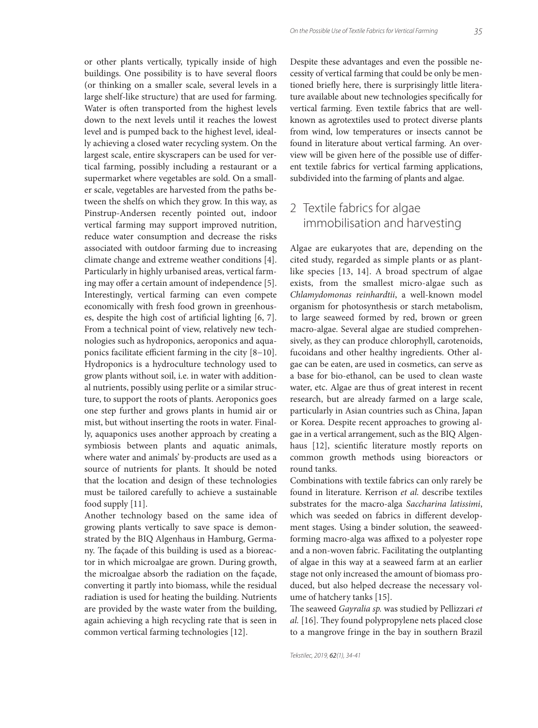or other plants vertically, typically inside of high buildings. One possibility is to have several floors (or thinking on a smaller scale, several levels in a large shelf-like structure) that are used for farming. Water is often transported from the highest levels down to the next levels until it reaches the lowest level and is pumped back to the highest level, ideally achieving a closed water recycling system. On the largest scale, entire skyscrapers can be used for vertical farming, possibly including a restaurant or a supermarket where vegetables are sold. On a smaller scale, vegetables are harvested from the paths between the shelfs on which they grow. In this way, as Pinstrup-Andersen recently pointed out, indoor vertical farming may support improved nutrition, reduce water consumption and decrease the risks associated with outdoor farming due to increasing climate change and extreme weather conditions [4]. Particularly in highly urbanised areas, vertical farming may offer a certain amount of independence [5]. Interestingly, vertical farming can even compete economically with fresh food grown in greenhouses, despite the high cost of artificial lighting  $[6, 7]$ . From a technical point of view, relatively new technologies such as hydroponics, aeroponics and aquaponics facilitate efficient farming in the city [8−10]. Hydroponics is a hydroculture technology used to grow plants without soil, i.e. in water with additional nutrients, possibly using perlite or a similar structure, to support the roots of plants. Aeroponics goes one step further and grows plants in humid air or mist, but without inserting the roots in water. Finally, aquaponics uses another approach by creating a symbiosis between plants and aquatic animals, where water and animals' by-products are used as a source of nutrients for plants. It should be noted that the location and design of these technologies must be tailored carefully to achieve a sustainable food supply [11].

Another technology based on the same idea of growing plants vertically to save space is demonstrated by the BIQ Algenhaus in Hamburg, Germany. The façade of this building is used as a bioreactor in which microalgae are grown. During growth, the microalgae absorb the radiation on the façade, converting it partly into biomass, while the residual radiation is used for heating the building. Nutrients are provided by the waste water from the building, again achieving a high recycling rate that is seen in common vertical farming technologies [12].

Despite these advantages and even the possible necessity of vertical farming that could be only be mentioned briefly here, there is surprisingly little literature available about new technologies specifically for vertical farming. Even textile fabrics that are wellknown as agrotextiles used to protect diverse plants from wind, low temperatures or insects cannot be found in literature about vertical farming. An overview will be given here of the possible use of different textile fabrics for vertical farming applications, subdivided into the farming of plants and algae.

## 2 Textile fabrics for algae immobilisation and harvesting

Algae are eukaryotes that are, depending on the cited study, regarded as simple plants or as plantlike species [13, 14]. A broad spectrum of algae exists, from the smallest micro-algae such as *Chlamydomonas reinhardtii*, a well-known model organism for photosynthesis or starch metabolism, to large seaweed formed by red, brown or green macro-algae. Several algae are studied comprehensively, as they can produce chlorophyll, carotenoids, fucoidans and other healthy ingredients. Other algae can be eaten, are used in cosmetics, can serve as a base for bio-ethanol, can be used to clean waste water, etc. Algae are thus of great interest in recent research, but are already farmed on a large scale, particularly in Asian countries such as China, Japan or Korea. Despite recent approaches to growing algae in a vertical arrangement, such as the BIQ Algenhaus [12], scientific literature mostly reports on common growth methods using bioreactors or round tanks.

Combinations with textile fabrics can only rarely be found in literature. Kerrison *et al.* describe textiles substrates for the macro-alga *Saccharina latissimi*, which was seeded on fabrics in different development stages. Using a binder solution, the seaweedforming macro-alga was affixed to a polyester rope and a non-woven fabric. Facilitating the outplanting of algae in this way at a seaweed farm at an earlier stage not only increased the amount of biomass produced, but also helped decrease the necessary volume of hatchery tanks [15].

The seaweed *Gayralia sp.* was studied by Pellizzari et al. [16]. They found polypropylene nets placed close to a mangrove fringe in the bay in southern Brazil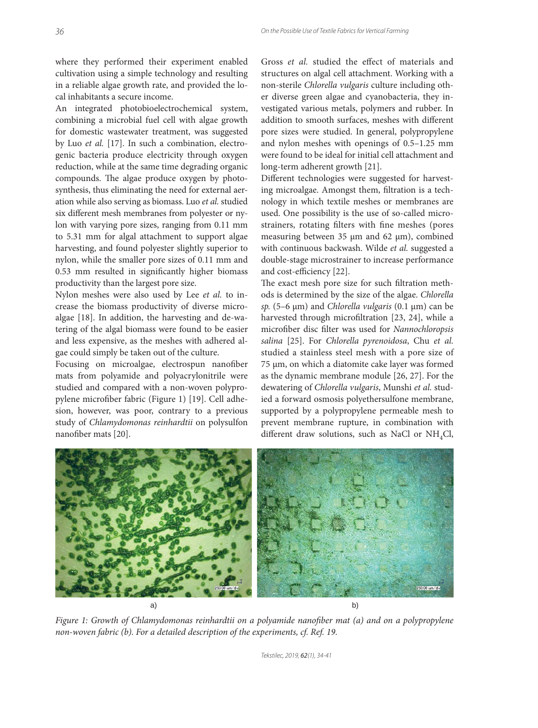where they performed their experiment enabled cultivation using a simple technology and resulting in a reliable algae growth rate, and provided the local inhabitants a secure income.

An integrated photobioelectrochemical system, combining a microbial fuel cell with algae growth for domestic wastewater treatment, was suggested by Luo *et al.* [17]. In such a combination, electrogenic bacteria produce electricity through oxygen reduction, while at the same time degrading organic compounds. The algae produce oxygen by photosynthesis, thus eliminating the need for external aeration while also serving as biomass. Luo *et al.* studied six different mesh membranes from polyester or nylon with varying pore sizes, ranging from 0.11 mm to 5.31 mm for algal attachment to support algae harvesting, and found polyester slightly superior to nylon, while the smaller pore sizes of 0.11 mm and 0.53 mm resulted in significantly higher biomass productivity than the largest pore size.

Nylon meshes were also used by Lee *et al.* to increase the biomass productivity of diverse microalgae [18]. In addition, the harvesting and de-watering of the algal biomass were found to be easier and less expensive, as the meshes with adhered algae could simply be taken out of the culture.

Focusing on microalgae, electrospun nanofiber mats from polyamide and polyacrylonitrile were studied and compared with a non-woven polypropylene microfiber fabric (Figure 1) [19]. Cell adhesion, however, was poor, contrary to a previous study of *Chlamydomonas reinhardtii* on polysulfon nanofiber mats [20].

Gross *et al.* studied the effect of materials and structures on algal cell attachment. Working with a non-sterile *Chlorella vulgaris* culture including other diverse green algae and cyanobacteria, they investigated various metals, polymers and rubber. In addition to smooth surfaces, meshes with different pore sizes were studied. In general, polypropylene and nylon meshes with openings of 0.5–1.25 mm were found to be ideal for initial cell attachment and long-term adherent growth [21].

Different technologies were suggested for harvesting microalgae. Amongst them, filtration is a technology in which textile meshes or membranes are used. One possibility is the use of so-called microstrainers, rotating filters with fine meshes (pores measuring between 35 μm and 62 μm), combined with continuous backwash. Wilde *et al.* suggested a double-stage microstrainer to increase performance and cost-efficiency [22].

The exact mesh pore size for such filtration methods is determined by the size of the algae. *Chlorella sp.* (5–6 μm) and *Chlorella vulgaris* (0.1 μm) can be harvested through microfiltration [23, 24], while a microfiber disc filter was used for *Nannochloropsis salina* [25]. For *Chlorella pyrenoidosa*, Chu *et al.* studied a stainless steel mesh with a pore size of 75 μm, on which a diatomite cake layer was formed as the dynamic membrane module [26, 27]. For the dewatering of *Chlorella vulgaris*, Munshi *et al.* studied a forward osmosis polyethersulfone membrane, supported by a polypropylene permeable mesh to prevent membrane rupture, in combination with different draw solutions, such as NaCl or NH<sub>4</sub>Cl,



*Figure 1: Growth of Chlamydomonas reinhardtii on a polyamide nanofiber mat (a) and on a polypropylene non-woven fabric (b). For a detailed description of the experiments, cf. Ref. 19.*

Tekstilec, 2019, 62(1), 34-41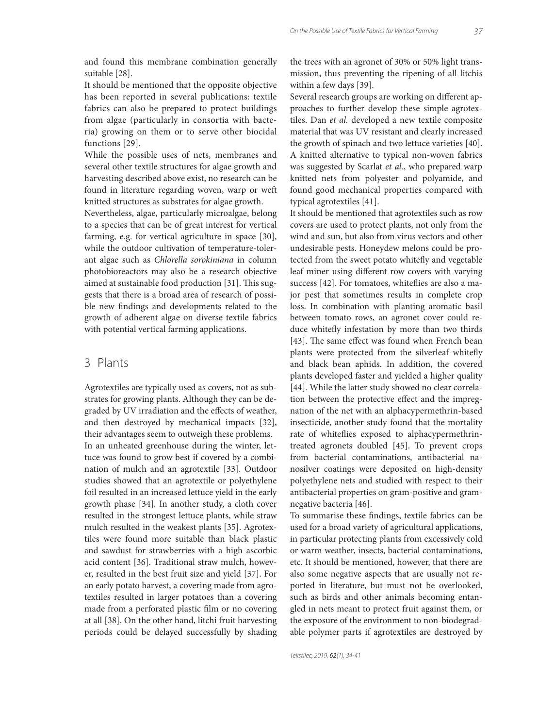It should be mentioned that the opposite objective has been reported in several publications: textile fabrics can also be prepared to protect buildings from algae (particularly in consortia with bacteria) growing on them or to serve other biocidal functions [29].

While the possible uses of nets, membranes and several other textile structures for algae growth and harvesting described above exist, no research can be found in literature regarding woven, warp or weft knitted structures as substrates for algae growth.

Nevertheless, algae, particularly microalgae, belong to a species that can be of great interest for vertical farming, e.g. for vertical agriculture in space [30], while the outdoor cultivation of temperature-tolerant algae such as *Chlorella sorokiniana* in column photobioreactors may also be a research objective aimed at sustainable food production [31]. This suggests that there is a broad area of research of possible new findings and developments related to the growth of adherent algae on diverse textile fabrics with potential vertical farming applications.

#### 3 Plants

Agrotextiles are typically used as covers, not as substrates for growing plants. Although they can be degraded by UV irradiation and the effects of weather, and then destroyed by mechanical impacts [32], their advantages seem to outweigh these problems. In an unheated greenhouse during the winter, lettuce was found to grow best if covered by a combination of mulch and an agrotextile [33]. Outdoor studies showed that an agrotextile or polyethylene foil resulted in an increased lettuce yield in the early growth phase [34]. In another study, a cloth cover resulted in the strongest lettuce plants, while straw mulch resulted in the weakest plants [35]. Agrotextiles were found more suitable than black plastic and sawdust for strawberries with a high ascorbic acid content [36]. Traditional straw mulch, however, resulted in the best fruit size and yield [37]. For an early potato harvest, a covering made from agrotextiles resulted in larger potatoes than a covering made from a perforated plastic film or no covering at all [38]. On the other hand, litchi fruit harvesting periods could be delayed successfully by shading the trees with an agronet of 30% or 50% light transmission, thus preventing the ripening of all litchis within a few days [39].

Several research groups are working on different approaches to further develop these simple agrotextiles. Dan *et al.* developed a new textile composite material that was UV resistant and clearly increased the growth of spinach and two lettuce varieties [40]. A knitted alternative to typical non-woven fabrics was suggested by Scarlat *et al.*, who prepared warp knitted nets from polyester and polyamide, and found good mechanical properties compared with typical agrotextiles [41].

It should be mentioned that agrotextiles such as row covers are used to protect plants, not only from the wind and sun, but also from virus vectors and other undesirable pests. Honeydew melons could be protected from the sweet potato whitefly and vegetable leaf miner using different row covers with varying success [42]. For tomatoes, whiteflies are also a major pest that sometimes results in complete crop loss. In combination with planting aromatic basil between tomato rows, an agronet cover could reduce whitefly infestation by more than two thirds [43]. The same effect was found when French bean plants were protected from the silverleaf whitefly and black bean aphids. In addition, the covered plants developed faster and yielded a higher quality [44]. While the latter study showed no clear correlation between the protective effect and the impregnation of the net with an alphacypermethrin-based insecticide, another study found that the mortality rate of whiteflies exposed to alphacypermethrintreated agronets doubled [45]. To prevent crops from bacterial contaminations, antibacterial nanosilver coatings were deposited on high-density polyethylene nets and studied with respect to their antibacterial properties on gram-positive and gramnegative bacteria [46].

To summarise these findings, textile fabrics can be used for a broad variety of agricultural applications, in particular protecting plants from excessively cold or warm weather, insects, bacterial contaminations, etc. It should be mentioned, however, that there are also some negative aspects that are usually not reported in literature, but must not be overlooked, such as birds and other animals becoming entangled in nets meant to protect fruit against them, or the exposure of the environment to non-biodegradable polymer parts if agrotextiles are destroyed by

Tekstilec, 2019, 62(1), 34-41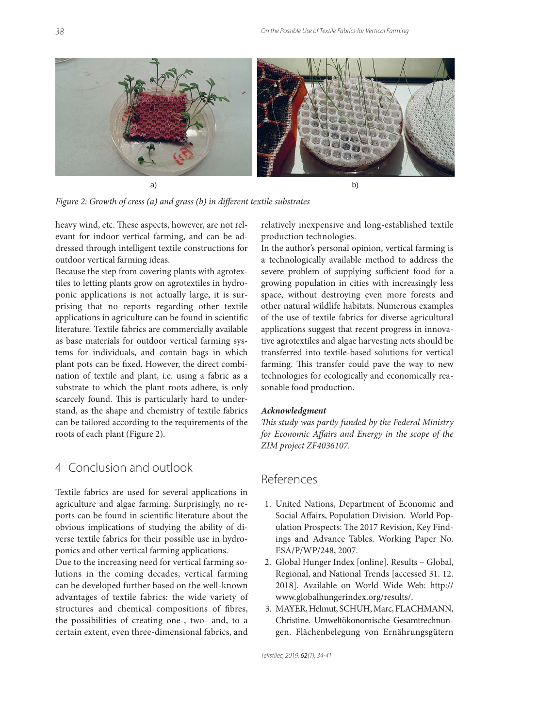

*Figure 2: Growth of cress (a) and grass (b) in different textile substrates* 

heavy wind, etc. These aspects, however, are not relevant for indoor vertical farming, and can be addressed through intelligent textile constructions for outdoor vertical farming ideas.

Because the step from covering plants with agrotextiles to letting plants grow on agrotextiles in hydroponic applications is not actually large, it is surprising that no reports regarding other textile applications in agriculture can be found in scientific literature. Textile fabrics are commercially available as base materials for outdoor vertical farming systems for individuals, and contain bags in which plant pots can be fixed. However, the direct combination of textile and plant, i.e. using a fabric as a substrate to which the plant roots adhere, is only scarcely found. This is particularly hard to understand, as the shape and chemistry of textile fabrics can be tailored according to the requirements of the roots of each plant (Figure 2).

### 4 Conclusion and outlook

Textile fabrics are used for several applications in agriculture and algae farming. Surprisingly, no reports can be found in scientific literature about the obvious implications of studying the ability of diverse textile fabrics for their possible use in hydroponics and other vertical farming applications.

Due to the increasing need for vertical farming solutions in the coming decades, vertical farming can be developed further based on the well-known advantages of textile fabrics: the wide variety of structures and chemical compositions of fibres, the possibilities of creating one-, two- and, to a certain extent, even three-dimensional fabrics, and relatively inexpensive and long-established textile production technologies.

In the author's personal opinion, vertical farming is a technologically available method to address the severe problem of supplying sufficient food for a growing population in cities with increasingly less space, without destroying even more forests and other natural wildlife habitats. Numerous examples of the use of textile fabrics for diverse agricultural applications suggest that recent progress in innovative agrotextiles and algae harvesting nets should be transferred into textile-based solutions for vertical farming. This transfer could pave the way to new technologies for ecologically and economically reasonable food production.

#### *Acknowledgment*

This study was partly funded by the Federal Ministry *for Economic Affairs and Energy in the scope of the ZIM project ZF4036107.*

#### References

- 1. United Nations, Department of Economic and Social Affairs, Population Division. World Population Prospects: The 2017 Revision, Key Findings and Advance Tables. Working Paper No. ESA/P/WP/248, 2007.
- 2. Global Hunger Index [online]. Results Global, Regional, and National Trends [accessed 31. 12. 2018]. Available on World Wide Web: http:// www.globalhungerindex.org/results/.
- 3. MAYER, Helmut, SCHUH, Marc, FLACHMANN, Christine. Umweltökonomische Gesamtrechnungen. Flächenbelegung von Ernährungsgütern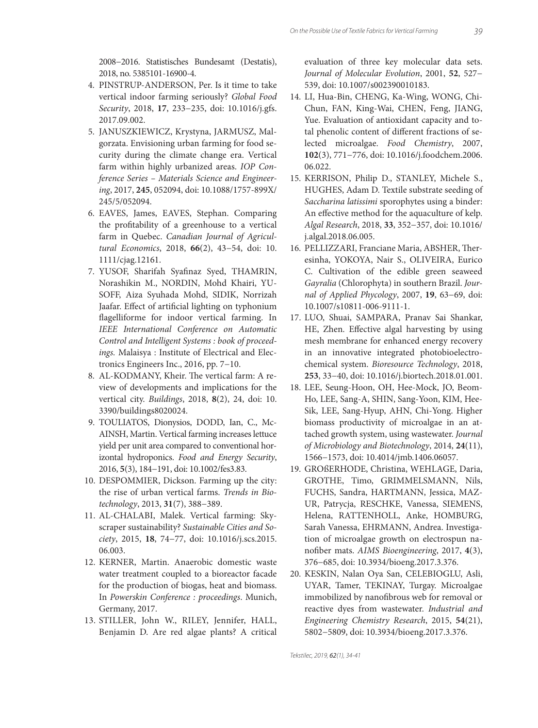2008−2016. Statistisches Bundesamt (Destatis), 2018, no. 5385101-16900-4.

- 4. PINSTRUP-ANDERSON, Per. Is it time to take vertical indoor farming seriously? *Global Food Security*, 2018, **17**, 233−235, doi: 10.1016/j.gfs. 2017.09.002.
- 5. JANUSZKIEWICZ, Krystyna, JARMUSZ, Malgorzata. Envisioning urban farming for food security during the climate change era. Vertical farm within highly urbanized areas. *IOP Conference Series – Materials Science and Engineering*, 2017, **245**, 052094, doi: 10.1088/1757-899X/ 245/5/052094.
- 6. EAVES, James, EAVES, Stephan. Comparing the profitability of a greenhouse to a vertical farm in Quebec. *Canadian Journal of Agricultural Economics*, 2018, **66**(2), 43−54, doi: 10. 1111/cjag.12161.
- 7. YUSOF, Sharifah Syafinaz Syed, THAMRIN, Norashikin M., NORDIN, Mohd Khairi, YU-SOFF, Aiza Syuhada Mohd, SIDIK, Norrizah Jaafar. Effect of artificial lighting on typhonium flagelliforme for indoor vertical farming. In *IEEE International Conference on Automatic Control and Intelligent Systems : book of proceedings.* Malaisya : Institute of Electrical and Electronics Engineers Inc., 2016, pp. 7−10.
- 8. AL-KODMANY, Kheir. The vertical farm: A review of developments and implications for the vertical city. *Buildings*, 2018, **8**(2), 24, doi: 10. 3390/buildings8020024.
- 9. TOULIATOS, Dionysios, DODD, Ian, C., Mc-AINSH, Martin. Vertical farming increases lettuce yield per unit area compared to conventional horizontal hydroponics. *Food and Energy Security*, 2016, **5**(3), 184−191, doi: 10.1002/fes3.83.
- 10. DESPOMMIER, Dickson. Farming up the city: the rise of urban vertical farms. *Trends in Biotechnology*, 2013, **31**(7), 388−389.
- 11. AL-CHALABI, Malek. Vertical farming: Skyscraper sustainability? *Sustainable Cities and Society*, 2015, **18**, 74−77, doi: 10.1016/j.scs.2015. 06.003.
- 12. KERNER, Martin. Anaerobic domestic waste water treatment coupled to a bioreactor facade for the production of biogas, heat and biomass. In *Powerskin Conference : proceedings*. Munich, Germany, 2017.
- 13. STILLER, John W., RILEY, Jennifer, HALL, Benjamin D. Are red algae plants? A critical

evaluation of three key molecular data sets. *Journal of Molecular Evolution*, 2001, **52**, 527− 539, doi: 10.1007/s002390010183.

- 14. LI, Hua-Bin, CHENG, Ka-Wing, WONG, Chi-Chun, FAN, King-Wai, CHEN, Feng, JIANG, Yue. Evaluation of antioxidant capacity and total phenolic content of different fractions of selected microalgae. *Food Chemistry*, 2007, **102**(3), 771−776, doi: 10.1016/j.foodchem.2006. 06.022.
- 15. KERRISON, Philip D., STANLEY, Michele S., HUGHES, Adam D. Textile substrate seeding of *Saccharina latissimi* sporophytes using a binder: An effective method for the aquaculture of kelp. *Algal Research*, 2018, **33**, 352−357, doi: 10.1016/ j.algal.2018.06.005.
- 16. PELLIZZARI, Franciane Maria, ABSHER, Theresinha, YOKOYA, Nair S., OLIVEIRA, Eurico C. Cultivation of the edible green seaweed *Gayralia* (Chlorophyta) in southern Brazil. *Journal of Applied Phycology*, 2007, **19**, 63−69, doi: 10.1007/s10811-006-9111-1.
- 17. LUO, Shuai, SAMPARA, Pranav Sai Shankar, HE, Zhen. Effective algal harvesting by using mesh membrane for enhanced energy recovery in an innovative integrated photobioelectrochemical system. *Bioresource Technology*, 2018, **253**, 33−40, doi: 10.1016/j.biortech.2018.01.001.
- 18. LEE, Seung-Hoon, OH, Hee-Mock, JO, Beom-Ho, LEE, Sang-A, SHIN, Sang-Yoon, KIM, Hee-Sik, LEE, Sang-Hyup, AHN, Chi-Yong. Higher biomass productivity of microalgae in an attached growth system, using wastewater. *Journal of Microbiology and Biotechnology*, 2014, **24**(11), 1566−1573, doi: 10.4014/jmb.1406.06057.
- 19. GROßERHODE, Christina, WEHLAGE, Daria, GROTHE, Timo, GRIMMELSMANN, Nils, FUCHS, Sandra, HARTMANN, Jessica, MAZ-UR, Patrycja, RESCHKE, Vanessa, SIEMENS, Helena, RATTENHOLL, Anke, HOMBURG, Sarah Vanessa, EHRMANN, Andrea. Investigation of microalgae growth on electrospun nanofi ber mats. *AIMS Bioengineering*, 2017, **4**(3), 376−685, doi: 10.3934/bioeng.2017.3.376.
- 20. KESKIN, Nalan Oya San, CELEBIOGLU, Asli, UYAR, Tamer, TEKINAY, Turgay. Microalgae immobilized by nanofibrous web for removal or reactive dyes from wastewater. *Industrial and Engineering Chemistry Research*, 2015, **54**(21), 5802−5809, doi: 10.3934/bioeng.2017.3.376.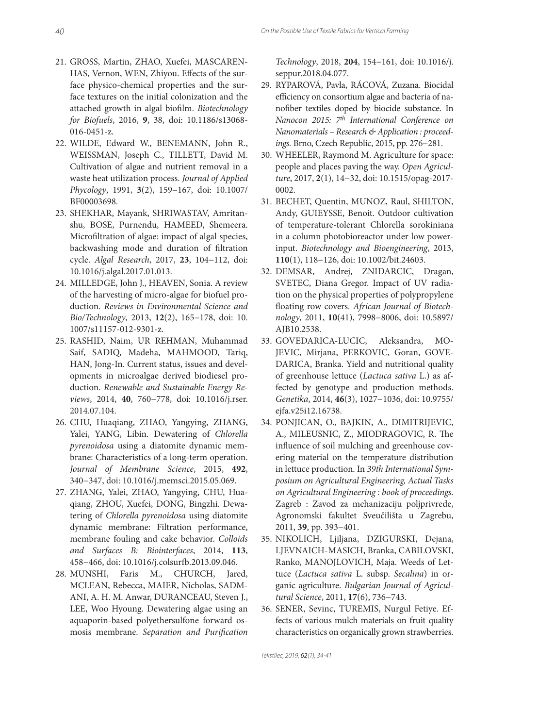- 21. GROSS, Martin, ZHAO, Xuefei, MASCAREN-HAS, Vernon, WEN, Zhiyou. Effects of the surface physico-chemical properties and the surface textures on the initial colonization and the attached growth in algal biofilm. *Biotechnology for Biofuels*, 2016, **9**, 38, doi: 10.1186/s13068- 016-0451-z.
- 22. WILDE, Edward W., BENEMANN, John R., WEISSMAN, Joseph C., TILLETT, David M. Cultivation of algae and nutrient removal in a waste heat utilization process. *Journal of Applied Phycology*, 1991, **3**(2), 159−167, doi: 10.1007/ BF00003698.
- 23. SHEKHAR, Mayank, SHRIWASTAV, Amritanshu, BOSE, Purnendu, HAMEED, Shemeera. Microfiltration of algae: impact of algal species, backwashing mode and duration of filtration cycle. *Algal Research*, 2017, **23**, 104−112, doi: 10.1016/j.algal.2017.01.013.
- 24. MILLEDGE, John J., HEAVEN, Sonia. A review of the harvesting of micro-algae for biofuel production. *Reviews in Environmental Science and Bio/Technology*, 2013, **12**(2), 165−178, doi: 10. 1007/s11157-012-9301-z.
- 25. RASHID, Naim, UR REHMAN, Muhammad Saif, SADIQ, Madeha, MAHMOOD, Tariq, HAN, Jong-In. Current status, issues and developments in microalgae derived biodiesel production. *Renewable and Sustainable Energy Reviews*, 2014, **40**, 760−778, doi: 10.1016/j.rser. 2014.07.104.
- 26. CHU, Huaqiang, ZHAO, Yangying, ZHANG, Yalei, YANG, Libin. Dewatering of *Chlorella pyrenoidosa* using a diatomite dynamic membrane: Characteristics of a long-term operation. *Journal of Membrane Science*, 2015, **492**, 340−347, doi: 10.1016/j.memsci.2015.05.069.
- 27. ZHANG, Yalei, ZHAO, Yangying, CHU, Huaqiang, ZHOU, Xuefei, DONG, Bingzhi. Dewatering of *Chlorella pyrenoidosa* using diatomite dynamic membrane: Filtration performance, membrane fouling and cake behavior. *Colloids and Surfaces B: Biointerfaces*, 2014, **113**, 458−466, doi: 10.1016/j.colsurfb .2013.09.046.
- 28. MUNSHI, Faris M., CHURCH, Jared, MCLEAN, Rebecca, MAIER, Nicholas, SADM-ANI, A. H. M. Anwar, DURANCEAU, Steven J., LEE, Woo Hyoung. Dewatering algae using an aquaporin-based polyethersulfone forward osmosis membrane. Separation and Purification

*Technology*, 2018, **204**, 154−161, doi: 10.1016/j. seppur.2018.04.077.

- 29. RYPAROVÁ, Pavla, RÁCOVÁ, Zuzana. Biocidal efficiency on consortium algae and bacteria of nanofiber textiles doped by biocide substance. In *Nanocon 2015: 7th International Conference on Nanomaterials – Research & Application : proceedings.* Brno, Czech Republic, 2015, pp. 276−281.
- 30. WHEELER, Raymond M. Agriculture for space: people and places paving the way. *Open Agriculture*, 2017, **2**(1), 14−32, doi: 10.1515/opag-2017- 0002.
- 31. BECHET, Quentin, MUNOZ, Raul, SHILTON, Andy, GUIEYSSE, Benoit. Outdoor cultivation of temperature-tolerant Chlorella sorokiniana in a column photobioreactor under low powerinput. *Biotechnology and Bioengineering*, 2013, **110**(1), 118−126, doi: 10.1002/bit.24603.
- 32. DEMSAR, Andrej, ZNIDARCIC, Dragan, SVETEC, Diana Gregor. Impact of UV radiation on the physical properties of polypropylene floating row covers. African Journal of Biotech*nology*, 2011, **10**(41), 7998−8006, doi: 10.5897/ AJB10.2538.
- 33. GOVEDARICA-LUCIC, Aleksandra, MO-JEVIC, Mirjana, PERKOVIC, Goran, GOVE-DARICA, Branka. Yield and nutritional quality of greenhouse lettuce (*Lactuca sativa* L.) as affected by genotype and production methods. *Genetika*, 2014, **46**(3), 1027−1036, doi: 10.9755/ ejfa.v25i12.16738.
- 34. PONJICAN, O., BAJKIN, A., DIMITRIJEVIC, A., MILEUSNIC, Z., MIODRAGOVIC, R. The influence of soil mulching and greenhouse covering material on the temperature distribution in lettuce production. In *39th International Symposium on Agricultural Engineering, Actual Tasks on Agricultural Engineering : book of proceedings*. Zagreb : Zavod za mehanizaciju poljprivrede, Agronomski fakultet Sveučilišta u Zagrebu, 2011, **39**, pp. 393−401.
- 35. NIKOLICH, Ljiljana, DZIGURSKI, Dejana, LJEVNAICH-MASICH, Branka, CABILOVSKI, Ranko, MANOJLOVICH, Maja. Weeds of Lettuce (*Lactuca sativa* L. subsp. *Secalina*) in organic agriculture. *Bulgarian Journal of Agricultural Science*, 2011, **17**(6), 736−743.
- 36. SENER, Sevinc, TUREMIS, Nurgul Fetiye. Effects of various mulch materials on fruit quality characteristics on organically grown strawberries.

Tekstilec, 2019, 62(1), 34-41